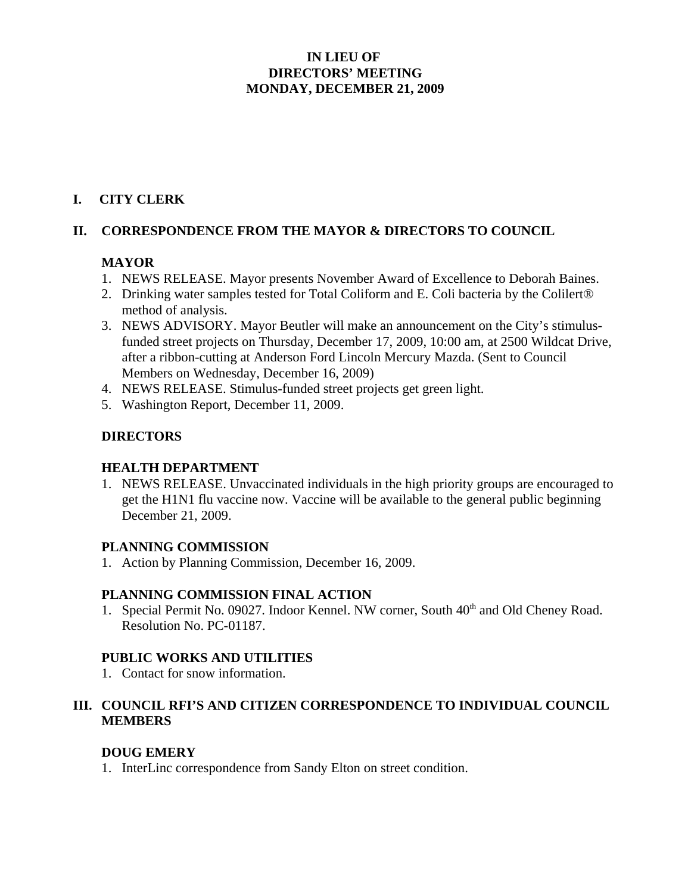#### **IN LIEU OF DIRECTORS' MEETING MONDAY, DECEMBER 21, 2009**

### **I. CITY CLERK**

#### **II. CORRESPONDENCE FROM THE MAYOR & DIRECTORS TO COUNCIL**

#### **MAYOR**

- 1. NEWS RELEASE. Mayor presents November Award of Excellence to Deborah Baines.
- 2. Drinking water samples tested for Total Coliform and E. Coli bacteria by the Colilert® method of analysis.
- 3. NEWS ADVISORY. Mayor Beutler will make an announcement on the City's stimulusfunded street projects on Thursday, December 17, 2009, 10:00 am, at 2500 Wildcat Drive, after a ribbon-cutting at Anderson Ford Lincoln Mercury Mazda. (Sent to Council Members on Wednesday, December 16, 2009)
- 4. NEWS RELEASE. Stimulus-funded street projects get green light.
- 5. Washington Report, December 11, 2009.

## **DIRECTORS**

#### **HEALTH DEPARTMENT**

1. NEWS RELEASE. Unvaccinated individuals in the high priority groups are encouraged to get the H1N1 flu vaccine now. Vaccine will be available to the general public beginning December 21, 2009.

#### **PLANNING COMMISSION**

1. Action by Planning Commission, December 16, 2009.

#### **PLANNING COMMISSION FINAL ACTION**

1. Special Permit No. 09027. Indoor Kennel. NW corner, South 40<sup>th</sup> and Old Cheney Road. Resolution No. PC-01187.

## **PUBLIC WORKS AND UTILITIES**

1. Contact for snow information.

### **III. COUNCIL RFI'S AND CITIZEN CORRESPONDENCE TO INDIVIDUAL COUNCIL MEMBERS**

## **DOUG EMERY**

1. InterLinc correspondence from Sandy Elton on street condition.